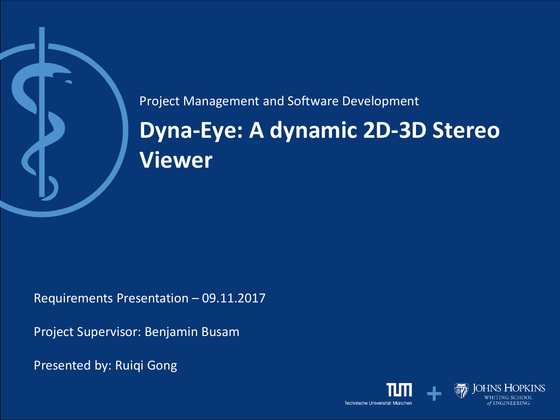

# **Dyna-Eye: A dynamic 2D-3D Stereo Viewer** Project Management and Software Development

Requirements Presentation – 09.11.2017

Project Supervisor: Benjamin Busam

Presented by: Ruiqi Gong

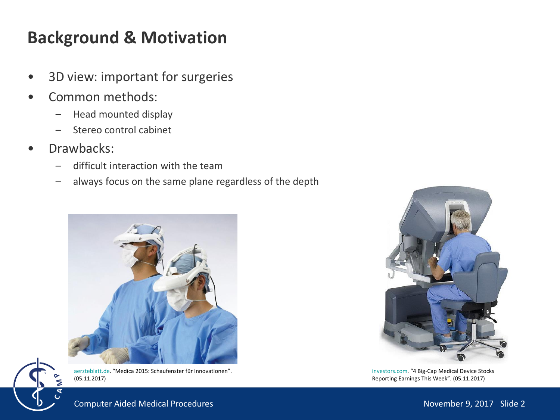## **Background & Motivation**

- 3D view: important for surgeries
- Common methods:
	- Head mounted display
	- Stereo control cabinet
- Drawbacks:
	- difficult interaction with the team
	- always focus on the same plane regardless of the depth





[aerzteblatt.de](https://www.aerzteblatt.de/archiv/172886/Medica-2015-Schaufenster-fuer-Innovationen). "Medica 2015: Schaufenster für Innovationen".  $(05.11.2017)$ 



[investors.com](https://www.investors.com/news/technology/4-big-cap-medical-device-stocks-reporting-earnings-this-week/). "4 Big-Cap Medical Device Stocks Reporting Earnings This Week". (05.11.2017)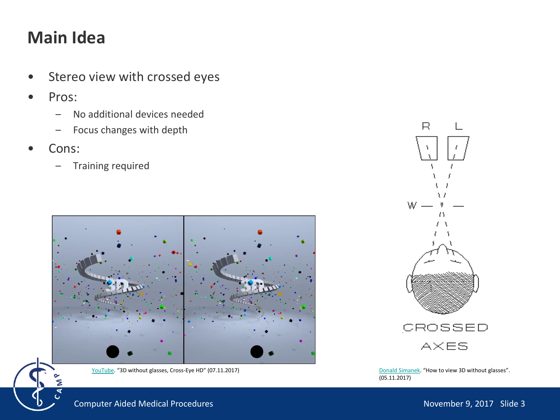# **Main Idea**

- Stereo view with crossed eyes
- Pros:
	- No additional devices needed
	- Focus changes with depth
- Cons:
	- Training required



[YouTube](https://www.youtube.com/watch?v=zBa-bCxsZDk). "3D without glasses, Cross-Eye HD" (07.11.2017)



[Donald Simanek](https://www.lhup.edu/~dsimanek/3d/view3d.htm). "How to view 3D without glasses". (05.11.2017)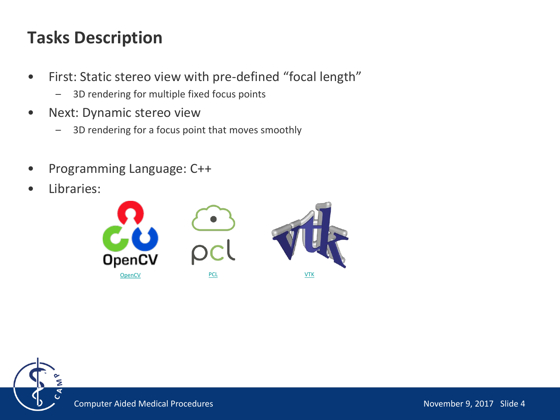# **Tasks Description**

- First: Static stereo view with pre-defined "focal length"
	- 3D rendering for multiple fixed focus points
- Next: Dynamic stereo view
	- 3D rendering for a focus point that moves smoothly
- Programming Language: C++
- Libraries:



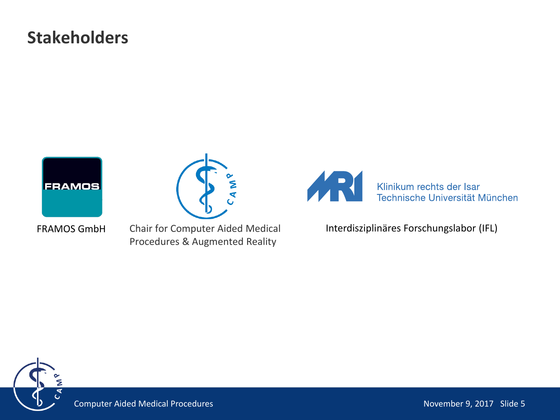### **Stakeholders**





Chair for Computer Aided Medical Procedures & Augmented Reality



FRAMOS GmbH Chair for Computer Aided Medical Interdisziplinäres Forschungslabor (IFL)

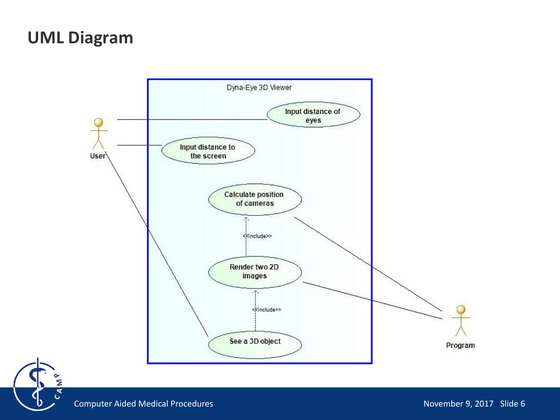#### **UML Diagram**





Σ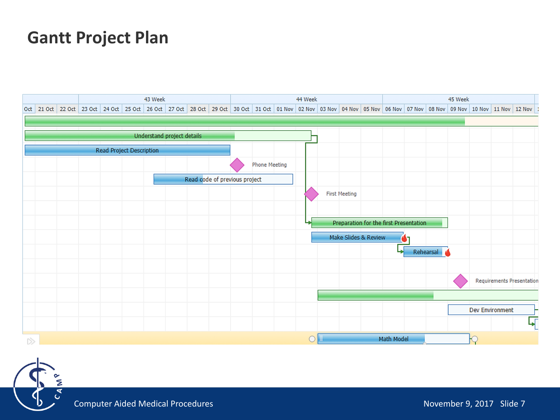#### **Gantt Project Plan**



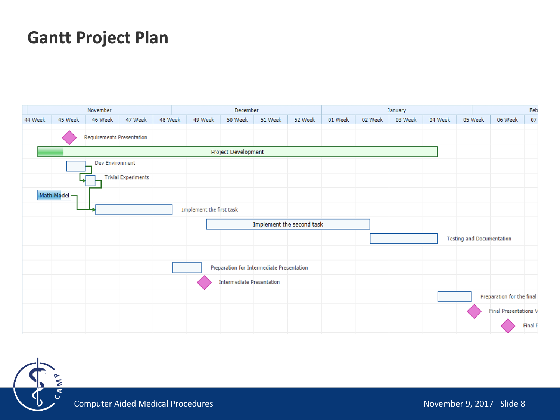#### **Gantt Project Plan**